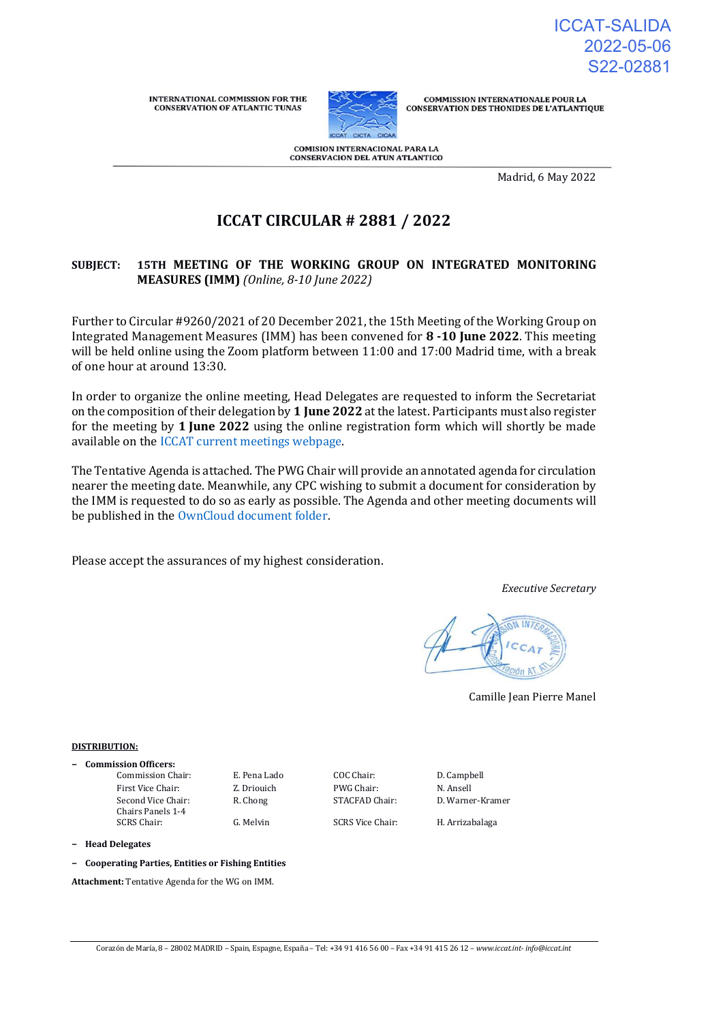ICCAT-SALIDA 2022-05-06 S22-02881

**INTERNATIONAL COMMISSION FOR THE CONSERVATION OF ATLANTIC TUNAS** 



**COMMISSION INTERNATIONALE POUR LA CONSERVATION DES THONIDES DE L'ATLANTIQUE** 

COMISION INTERNACIONAL PARA LA CONSERVACION DEL ATUN ATLANTICO

Madrid, 6 May 2022

# **ICCAT CIRCULAR # 2881 / 2022**

# **SUBJECT: 15TH MEETING OF THE WORKING GROUP ON INTEGRATED MONITORING MEASURES (IMM)** *(Online, 8-10 June 2022)*

Further to Circular #9260/2021 of 20 December 2021, the 15th Meeting of the Working Group on Integrated Management Measures (IMM) has been convened for **8 -10 June 2022**. This meeting will be held online using the Zoom platform between 11:00 and 17:00 Madrid time, with a break of one hour at around 13:30.

In order to organize the online meeting, Head Delegates are requested to inform the Secretariat on the composition of their delegation by **1 June 2022** at the latest. Participants must also register for the meeting by **1 June 2022** using the online registration form which will shortly be made available on the [ICCAT current meetings webpage.](https://www.iccat.int/en/Meetings.html) 

The Tentative Agenda is attached. The PWG Chair will provide an annotated agenda for circulation nearer the meeting date. Meanwhile, any CPC wishing to submit a document for consideration by the IMM is requested to do so as early as possible. The Agenda and other meeting documents will be published in th[e OwnCloud document folder.](https://meetings.iccat.int/index.php/s/9YZqC1d4KLo5azk)

Please accept the assurances of my highest consideration.

*Executive Secretary*



Camille Jean Pierre Manel

#### **DISTRIBUTION:**

**− Commission Officers:** Commission Chair: E. Pena Lado COC Chair: D. Campbell First Vice Chair: Z. Driouich PWG Chair: N. Ansell Second Vice Chair: Chairs Panels 1-4

SCRS Chair: G. Melvin SCRS Vice Chair: H. Arrizabalaga

R. Chong STACFAD Chair: D. Warner-Kramer

**− Head Delegates**

**− Cooperating Parties, Entities or Fishing Entities**

**Attachment:** Tentative Agenda for the WG on IMM.